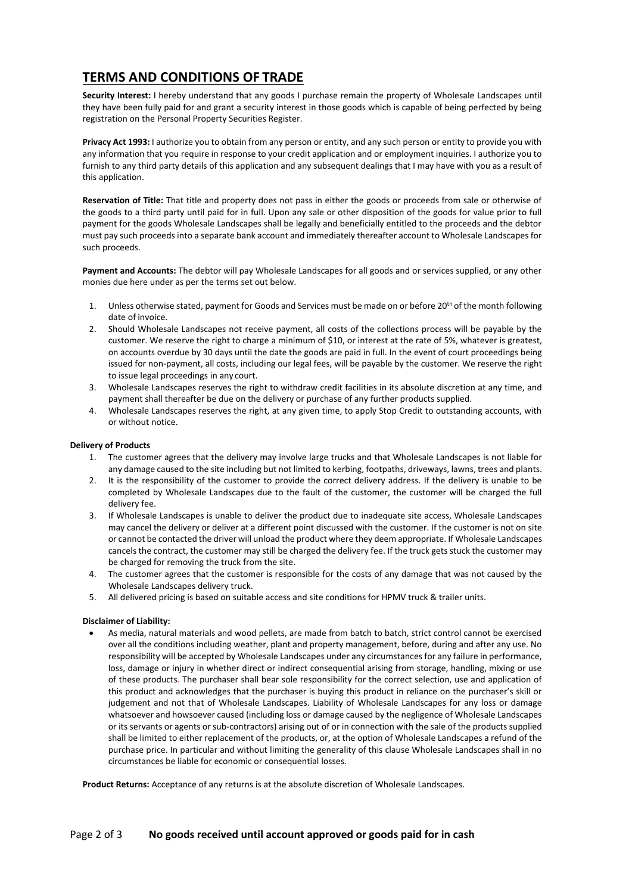## **TERMS AND CONDITIONS OF TRADE**

**Security Interest:** I hereby understand that any goods I purchase remain the property of Wholesale Landscapes until they have been fully paid for and grant a security interest in those goods which is capable of being perfected by being registration on the Personal Property Securities Register.

**Privacy Act 1993:** I authorize you to obtain from any person or entity, and any such person or entity to provide you with any information that you require in response to your credit application and or employment inquiries. I authorize you to furnish to any third party details of this application and any subsequent dealings that I may have with you as a result of this application.

**Reservation of Title:** That title and property does not pass in either the goods or proceeds from sale or otherwise of the goods to a third party until paid for in full. Upon any sale or other disposition of the goods for value prior to full payment for the goods Wholesale Landscapes shall be legally and beneficially entitled to the proceeds and the debtor must pay such proceeds into a separate bank account and immediately thereafter account to Wholesale Landscapes for such proceeds.

**Payment and Accounts:** The debtor will pay Wholesale Landscapes for all goods and or services supplied, or any other monies due here under as per the terms set out below.

- 1. Unless otherwise stated, payment for Goods and Services must be made on or before 20<sup>th</sup> of the month following date of invoice.
- 2. Should Wholesale Landscapes not receive payment, all costs of the collections process will be payable by the customer. We reserve the right to charge a minimum of \$10, or interest at the rate of 5%, whatever is greatest, on accounts overdue by 30 days until the date the goods are paid in full. In the event of court proceedings being issued for non-payment, all costs, including our legal fees, will be payable by the customer. We reserve the right to issue legal proceedings in any court.
- 3. Wholesale Landscapes reserves the right to withdraw credit facilities in its absolute discretion at any time, and payment shall thereafter be due on the delivery or purchase of any further products supplied.
- 4. Wholesale Landscapes reserves the right, at any given time, to apply Stop Credit to outstanding accounts, with or without notice.

## **Delivery of Products**

- 1. The customer agrees that the delivery may involve large trucks and that Wholesale Landscapes is not liable for any damage caused to the site including but not limited to kerbing, footpaths, driveways, lawns, trees and plants.
- 2. It is the responsibility of the customer to provide the correct delivery address. If the delivery is unable to be completed by Wholesale Landscapes due to the fault of the customer, the customer will be charged the full delivery fee.
- 3. If Wholesale Landscapes is unable to deliver the product due to inadequate site access, Wholesale Landscapes may cancel the delivery or deliver at a different point discussed with the customer. If the customer is not on site or cannot be contacted the driver will unload the product where they deem appropriate. If Wholesale Landscapes cancels the contract, the customer may still be charged the delivery fee. If the truck gets stuck the customer may be charged for removing the truck from the site.
- 4. The customer agrees that the customer is responsible for the costs of any damage that was not caused by the Wholesale Landscapes delivery truck.
- 5. All delivered pricing is based on suitable access and site conditions for HPMV truck & trailer units.

## **Disclaimer of Liability:**

• As media, natural materials and wood pellets, are made from batch to batch, strict control cannot be exercised over all the conditions including weather, plant and property management, before, during and after any use. No responsibility will be accepted by Wholesale Landscapes under any circumstances for any failure in performance, loss, damage or injury in whether direct or indirect consequential arising from storage, handling, mixing or use of these products. The purchaser shall bear sole responsibility for the correct selection, use and application of this product and acknowledges that the purchaser is buying this product in reliance on the purchaser's skill or judgement and not that of Wholesale Landscapes. Liability of Wholesale Landscapes for any loss or damage whatsoever and howsoever caused (including loss or damage caused by the negligence of Wholesale Landscapes or its servants or agents or sub-contractors) arising out of or in connection with the sale of the products supplied shall be limited to either replacement of the products, or, at the option of Wholesale Landscapes a refund of the purchase price. In particular and without limiting the generality of this clause Wholesale Landscapes shall in no circumstances be liable for economic or consequential losses.

**Product Returns:** Acceptance of any returns is at the absolute discretion of Wholesale Landscapes.